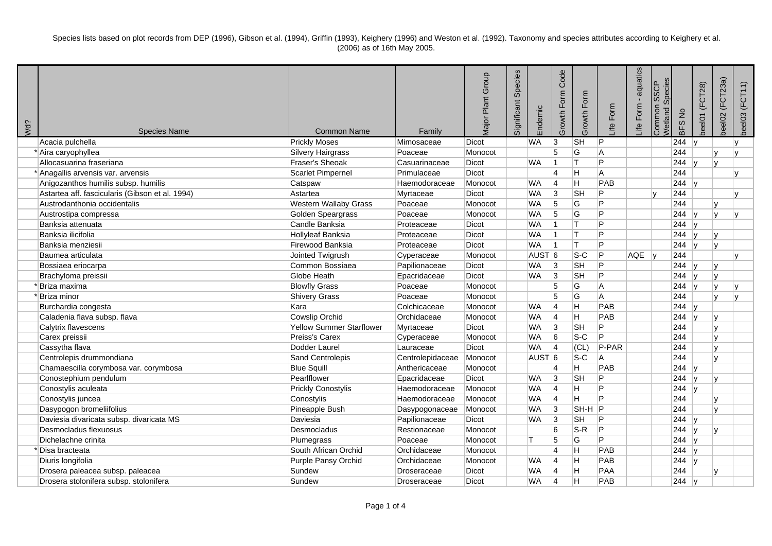Species lists based on plot records from DEP (1996), Gibson et al. (1994), Griffin (1993), Keighery (1996) and Weston et al. (1992). Taxonomy and species attributes according to Keighery et al. (2006) as of 16th May 2005.

| Wd? | <b>Species Name</b>                             | <b>Common Name</b>              | Family           | Plant Group<br>Major | Species<br>Significant | Endemic           | Code<br>Growth Form | Growth Form    | Form<br>Life   | aquatics<br>Form<br>Life | Species<br><b>SSCP</b><br>Common<br>Wetland | BFS No    | (FCT28)<br>beel01 | (FCT23a)<br>beel02 | beel03 (FCT11) |
|-----|-------------------------------------------------|---------------------------------|------------------|----------------------|------------------------|-------------------|---------------------|----------------|----------------|--------------------------|---------------------------------------------|-----------|-------------------|--------------------|----------------|
|     | Acacia pulchella                                | <b>Prickly Moses</b>            | Mimosaceae       | <b>Dicot</b>         |                        | <b>WA</b>         | 3                   | <b>SH</b>      | IP.            |                          |                                             | 244       |                   |                    |                |
|     | * Aira caryophyllea                             | Silvery Hairgrass               | Poaceae          | Monocot              |                        |                   | 5                   | lG             | A              |                          |                                             | 244       |                   | $\mathbf{v}$       |                |
|     | Allocasuarina fraseriana                        | Fraser's Sheoak                 | Casuarinaceae    | <b>Dicot</b>         |                        | <b>WA</b>         |                     | lτ             | P              |                          |                                             | 244       | ۱v                | lv.                |                |
|     | * Anagallis arvensis var. arvensis              | Scarlet Pimpernel               | Primulaceae      | <b>Dicot</b>         |                        |                   | 14                  | H              | A              |                          |                                             | 244       |                   |                    |                |
|     | Anigozanthos humilis subsp. humilis             | Catspaw                         | Haemodoraceae    | Monocot              |                        | <b>WA</b>         | 4                   | H              | PAB            |                          |                                             | 244       |                   |                    |                |
|     | Astartea aff. fascicularis (Gibson et al. 1994) | Astartea                        | Myrtaceae        | <b>Dicot</b>         |                        | <b>WA</b>         | 3                   | <b>SH</b>      | P              |                          | lv.                                         | 244       |                   |                    |                |
|     | Austrodanthonia occidentalis                    | Western Wallaby Grass           | Poaceae          | Monocot              |                        | <b>WA</b>         | 5                   | lG             | P              |                          |                                             | 244       |                   | $\mathbf{v}$       |                |
|     | Austrostipa compressa                           | Golden Speargrass               | Poaceae          | Monocot              |                        | <b>WA</b>         | 5                   | G              | Þ              |                          |                                             | 244       |                   |                    |                |
|     | Banksia attenuata                               | Candle Banksia                  | Proteaceae       | <b>Dicot</b>         |                        | <b>WA</b>         | 1                   | Iт             | Þ              |                          |                                             | 244       |                   |                    |                |
|     | Banksia ilicifolia                              | Hollyleaf Banksia               | Proteaceae       | <b>Dicot</b>         |                        | <b>WA</b>         | 11                  | lT.            | P              |                          |                                             | 244       |                   |                    |                |
|     | Banksia menziesii                               | Firewood Banksia                | Proteaceae       | Dicot                |                        | <b>WA</b>         | 11                  | lT.            | P              |                          |                                             | 244       |                   | lv.                |                |
|     | Baumea articulata                               | Jointed Twigrush                | Cyperaceae       | Monocot              |                        | AUST <sup>6</sup> |                     | $ S-C$         | P              | AQE                      | ∣v                                          | 244       |                   |                    |                |
|     | Bossiaea eriocarpa                              | Common Bossiaea                 | Papilionaceae    | <b>Dicot</b>         |                        | <b>WA</b>         | 3                   | <b>SH</b>      | P              |                          |                                             | 244       | ۱v                | v                  |                |
|     | Brachyloma preissii                             | Globe Heath                     | Epacridaceae     | <b>Dicot</b>         |                        | <b>WA</b>         | 3                   | <b>SH</b>      | P              |                          |                                             | 244       |                   | $\mathbf{v}$       |                |
|     | * Briza maxima                                  | <b>Blowfly Grass</b>            | Poaceae          | Monocot              |                        |                   | 5                   | ΙG             | A              |                          |                                             | 244       | $\mathsf{v}$      | $\mathbf{v}$       |                |
|     | *Briza minor                                    | <b>Shivery Grass</b>            | Poaceae          | Monocot              |                        |                   | 5                   | $\overline{G}$ | $\overline{A}$ |                          |                                             | 244       |                   | v                  |                |
|     | Burchardia congesta                             | Kara                            | Colchicaceae     | Monocot              |                        | <b>WA</b>         | $\overline{4}$      | lH.            | PAB            |                          |                                             | 244 $ v $ |                   |                    |                |
|     | Caladenia flava subsp. flava                    | Cowslip Orchid                  | Orchidaceae      | Monocot              |                        | <b>WA</b>         | 4                   | H              | PAB            |                          |                                             | 244       |                   | lv.                |                |
|     | Calytrix flavescens                             | <b>Yellow Summer Starflower</b> | Myrtaceae        | <b>Dicot</b>         |                        | <b>WA</b>         | 3                   | <b>SH</b>      | P              |                          |                                             | 244       |                   | v                  |                |
|     | Carex preissii                                  | Preiss's Carex                  | Cyperaceae       | Monocot              |                        | <b>WA</b>         | 6                   | $S-C$          | P              |                          |                                             | 244       |                   |                    |                |
|     | Cassytha flava                                  | Dodder Laurel                   | Lauraceae        | <b>Dicot</b>         |                        | <b>WA</b>         | 4                   | (CL)           | P-PAR          |                          |                                             | 244       |                   |                    |                |
|     | Centrolepis drummondiana                        | Sand Centrolepis                | Centrolepidaceae | Monocot              |                        | AUST <sub>6</sub> |                     | $S-C$          | A              |                          |                                             | 244       |                   |                    |                |
|     | Chamaescilla corymbosa var. corymbosa           | <b>Blue Squill</b>              | Anthericaceae    | Monocot              |                        |                   | 14                  | H              | PAB            |                          |                                             | 244       | ۱v                |                    |                |
|     | Conostephium pendulum                           | Pearlflower                     | Epacridaceae     | Dicot                |                        | <b>WA</b>         | 3                   | <b>SH</b>      | P              |                          |                                             | 244       |                   | $\mathsf{v}$       |                |
|     | Conostylis aculeata                             | <b>Prickly Conostylis</b>       | Haemodoraceae    | Monocot              |                        | <b>WA</b>         | $\overline{4}$      | H              | P              |                          |                                             | 244       |                   |                    |                |
|     | Conostylis juncea                               | Conostylis                      | Haemodoraceae    | Monocot              |                        | <b>WA</b>         | $\vert 4$           | H              | Þ              |                          |                                             | 244       |                   |                    |                |
|     | Dasypogon bromeliifolius                        | Pineapple Bush                  | Dasypogonaceae   | Monocot              |                        | <b>WA</b>         | 3                   | $ SH-H P$      |                |                          |                                             | 244       |                   | $\mathbf{v}$       |                |
|     | Daviesia divaricata subsp. divaricata MS        | Daviesia                        | Papilionaceae    | Dicot                |                        | <b>WA</b>         | 3                   | <b>SH</b>      | P              |                          |                                             | 244 $y$   |                   |                    |                |
|     | Desmocladus flexuosus                           | Desmocladus                     | Restionaceae     | Monocot              |                        |                   | 6                   | $S-R$          | P              |                          |                                             | 244       |                   | Iv.                |                |
|     | Dichelachne crinita                             | Plumegrass                      | Poaceae          | Monocot              |                        | IT.               | 5                   | ΙG             | P.             |                          |                                             | 244       |                   |                    |                |
|     | *Disa bracteata                                 | South African Orchid            | Orchidaceae      | Monocot              |                        |                   | $\overline{4}$      | ΙH             | PAB            |                          |                                             | 244       |                   |                    |                |
|     | Diuris longifolia                               | Purple Pansy Orchid             | Orchidaceae      | Monocot              |                        | <b>WA</b>         | 14                  | lн             | PAB            |                          |                                             | 244       |                   |                    |                |
|     | Drosera paleacea subsp. paleacea                | Sundew                          | Droseraceae      | Dicot                |                        | <b>WA</b>         | 14                  | H              | PAA            |                          |                                             | 244       |                   | v                  |                |
|     | Drosera stolonifera subsp. stolonifera          | Sundew                          | Droseraceae      | Dicot                |                        | <b>WA</b>         | 14                  | H              | PAB            |                          |                                             | 244       |                   |                    |                |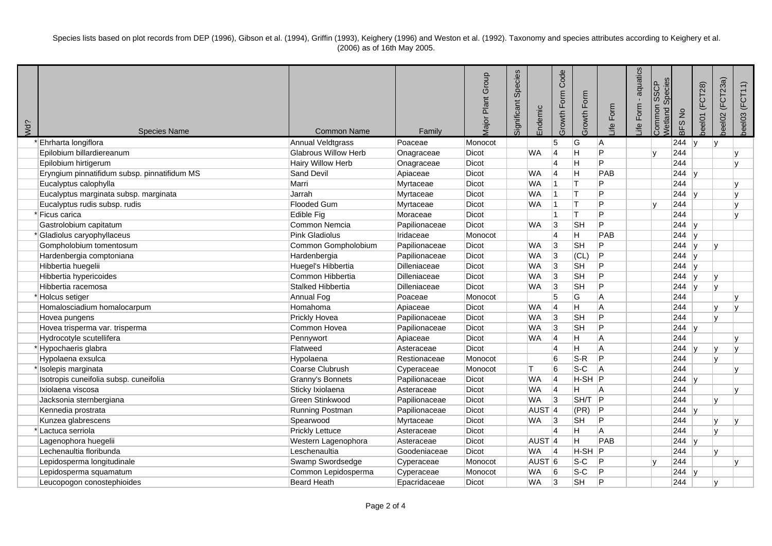Species lists based on plot records from DEP (1996), Gibson et al. (1994), Griffin (1993), Keighery (1996) and Weston et al. (1992). Taxonomy and species attributes according to Keighery et al. (2006) as of 16th May 2005.

| Wd? | <b>Species Name</b>                          | <b>Common Name</b>       | Family        | <b>Major Plant Group</b> | Species<br>Significant | Endemic            | Code<br>Growth Form | Growth Form | Form<br>∴ife | aquatics<br>Form<br>_ife | Species<br><b>SSCP</b><br>Common<br>Wetland | BFS No | (FCT28)<br>beel01 | (FCT23a)<br>beel02 | beel03 (FCT11) |
|-----|----------------------------------------------|--------------------------|---------------|--------------------------|------------------------|--------------------|---------------------|-------------|--------------|--------------------------|---------------------------------------------|--------|-------------------|--------------------|----------------|
|     | Ehrharta longiflora                          | Annual Veldtgrass        | Poaceae       | Monocot                  |                        |                    | 5                   | ΙG          | ΙA           |                          |                                             | 244    |                   | ۱v                 |                |
|     | Epilobium billardiereanum                    | Glabrous Willow Herb     | Onagraceae    | Dicot                    |                        | <b>WA</b>          | $\overline{4}$      | Η           | P            |                          |                                             | 244    |                   |                    |                |
|     | Epilobium hirtigerum                         | <b>Hairy Willow Herb</b> | Onagraceae    | <b>Dicot</b>             |                        |                    | $\overline{4}$      | н           | l P          |                          |                                             | 244    |                   |                    |                |
|     | Eryngium pinnatifidum subsp. pinnatifidum MS | Sand Devil               | Apiaceae      | Dicot                    |                        | <b>WA</b>          | 14                  | H           | PAB          |                          |                                             | 244    |                   |                    |                |
|     | Eucalyptus calophylla                        | Marri                    | Myrtaceae     | Dicot                    |                        | <b>WA</b>          | 11                  | lΤ          | P            |                          |                                             | 244    |                   |                    |                |
|     | Eucalyptus marginata subsp. marginata        | Jarrah                   | Myrtaceae     | <b>Dicot</b>             |                        | <b>WA</b>          | 1                   | lΤ          | P            |                          |                                             | 244    |                   |                    | v              |
|     | Eucalyptus rudis subsp. rudis                | <b>Flooded Gum</b>       | Myrtaceae     | Dicot                    |                        | <b>WA</b>          | 11.                 | ΙT.         | P            |                          | ۱v                                          | 244    |                   |                    | $\mathsf{v}$   |
|     | Ficus carica                                 | Edible Fig               | Moraceae      | Dicot                    |                        |                    | 11                  | lΤ          | P            |                          |                                             | 244    |                   |                    |                |
|     | Gastrolobium capitatum                       | Common Nemcia            | Papilionaceae | Dicot                    |                        | <b>WA</b>          | 3                   | <b>SH</b>   | P            |                          |                                             | 244    |                   |                    |                |
|     | * Gladiolus caryophyllaceus                  | Pink Gladiolus           | Iridaceae     | Monocot                  |                        |                    | 14                  | H           | PAB          |                          |                                             | 244    |                   |                    |                |
|     | Gompholobium tomentosum                      | Common Gompholobium      | Papilionaceae | <b>Dicot</b>             |                        | <b>WA</b>          | 3                   | <b>SH</b>   | P            |                          |                                             | 244    |                   |                    |                |
|     | Hardenbergia comptoniana                     | Hardenbergia             | Papilionaceae | Dicot                    |                        | <b>WA</b>          | 3                   | (CL)        | P            |                          |                                             | 244    |                   |                    |                |
|     | Hibbertia huegelii                           | Huegel's Hibbertia       | Dilleniaceae  | <b>Dicot</b>             |                        | <b>WA</b>          | 3                   | <b>SH</b>   | P            |                          |                                             | 244    |                   |                    |                |
|     | Hibbertia hypericoides                       | Common Hibbertia         | Dilleniaceae  | Dicot                    |                        | WA                 | 3                   | <b>SH</b>   | P            |                          |                                             | 244    |                   |                    |                |
|     | Hibbertia racemosa                           | Stalked Hibbertia        | Dilleniaceae  | Dicot                    |                        | <b>WA</b>          | 3                   | <b>SH</b>   | P            |                          |                                             | 244    |                   | $\mathbf{v}$       |                |
|     | * Holcus setiger                             | Annual Fog               | Poaceae       | Monocot                  |                        |                    | $\overline{5}$      | G           | A            |                          |                                             | 244    |                   |                    |                |
|     | Homalosciadium homalocarpum                  | Homahoma                 | Apiaceae      | Dicot                    |                        | <b>WA</b>          | 14                  | Η           | A            |                          |                                             | 244    |                   | $\mathbf{v}$       |                |
|     | Hovea pungens                                | <b>Prickly Hovea</b>     | Papilionaceae | <b>Dicot</b>             |                        | <b>WA</b>          | 3                   | <b>SH</b>   | P            |                          |                                             | 244    |                   | $\mathsf{v}$       |                |
|     | Hovea trisperma var. trisperma               | Common Hovea             | Papilionaceae | Dicot                    |                        | <b>WA</b>          | 3                   | <b>SH</b>   | P            |                          |                                             | 244    |                   |                    |                |
|     | Hydrocotyle scutellifera                     | Pennywort                | Apiaceae      | <b>Dicot</b>             |                        | <b>WA</b>          | 14                  | Η           | A            |                          |                                             | 244    |                   |                    |                |
|     | *Hypochaeris glabra                          | Flatweed                 | Asteraceae    | Dicot                    |                        |                    | $\overline{4}$      | Η           | A            |                          |                                             | 244    |                   |                    |                |
|     | Hypolaena exsulca                            | Hypolaena                | Restionaceae  | Monocot                  |                        |                    | 6                   | $S-R$       | P            |                          |                                             | 244    |                   | v                  |                |
|     | Isolepis marginata                           | Coarse Clubrush          | Cyperaceae    | Monocot                  | т                      |                    | 6                   | $S-C$       | l A          |                          |                                             | 244    |                   |                    |                |
|     | Isotropis cuneifolia subsp. cuneifolia       | Granny's Bonnets         | Papilionaceae | Dicot                    |                        | WA                 | 14                  | $H-SH$ P    |              |                          |                                             | 244    |                   |                    |                |
|     | Ixiolaena viscosa                            | Sticky Ixiolaena         | Asteraceae    | Dicot                    |                        | <b>WA</b>          | 14                  | H           | l A          |                          |                                             | 244    |                   |                    |                |
|     | Jacksonia sternbergiana                      | Green Stinkwood          | Papilionaceae | Dicot                    |                        | <b>WA</b>          | Ι3                  | SH/T        | P            |                          |                                             | 244    |                   |                    |                |
|     | Kennedia prostrata                           | <b>Running Postman</b>   | Papilionaceae | Dicot                    |                        | AUST <sub>14</sub> |                     | (PR)        | P            |                          |                                             | 244    |                   |                    |                |
|     | Kunzea glabrescens                           | Spearwood                | Myrtaceae     | <b>Dicot</b>             |                        | <b>WA</b>          | 3                   | <b>SH</b>   | IP.          |                          |                                             | 244    |                   |                    |                |
|     | Lactuca serriola                             | <b>Prickly Lettuce</b>   | Asteraceae    | Dicot                    |                        |                    | $\overline{4}$      | Η           | A            |                          |                                             | 244    |                   | V                  |                |
|     | Lagenophora huegelii                         | Western Lagenophora      | Asteraceae    | <b>Dicot</b>             |                        | AUST <sub>14</sub> |                     | Η           | PAB          |                          |                                             | 244    |                   |                    |                |
|     | Lechenaultia floribunda                      | Leschenaultia            | Goodeniaceae  | Dicot                    |                        | <b>WA</b>          | 4                   | $H-SH$ $P$  |              |                          |                                             | 244    |                   | v                  |                |
|     | Lepidosperma longitudinale                   | Swamp Swordsedge         | Cyperaceae    | Monocot                  |                        | AUST <sup>6</sup>  |                     | $S-C$       | P            |                          |                                             | 244    |                   |                    |                |
|     | Lepidosperma squamatum                       | Common Lepidosperma      | Cyperaceae    | Monocot                  |                        | <b>WA</b>          | 6                   | $S-C$       | P            |                          |                                             | 244    |                   |                    |                |
|     | Leucopogon conostephioides                   | <b>Beard Heath</b>       | Epacridaceae  | Dicot                    |                        | <b>WA</b>          | 3                   | <b>SH</b>   | P            |                          |                                             | 244    |                   | $\mathsf{v}$       |                |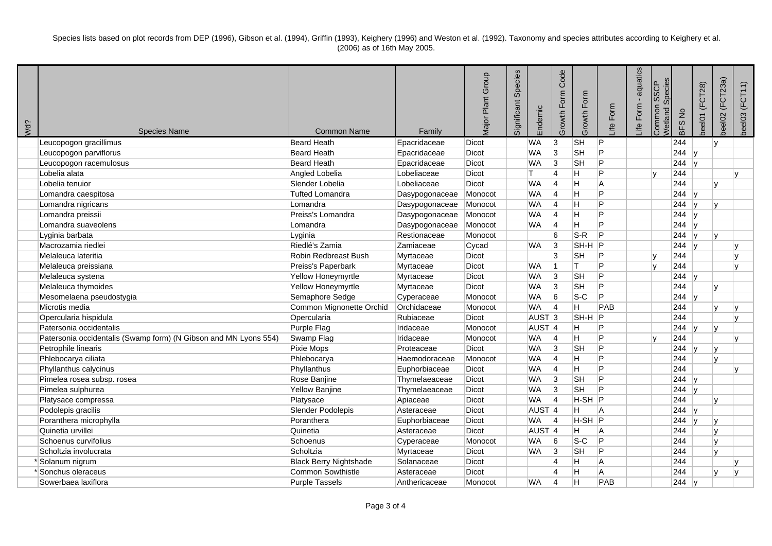Species lists based on plot records from DEP (1996), Gibson et al. (1994), Griffin (1993), Keighery (1996) and Weston et al. (1992). Taxonomy and species attributes according to Keighery et al. (2006) as of 16th May 2005.

| Wd? | <b>Species Name</b>                                              | <b>Common Name</b>            | Family         | Major Plant Group | Species<br>Significant | Endemic           | Code<br>Growth Form | Growth Form | Form<br>_ife | aquatics<br>Form<br>_ife | Species<br><b>SSCP</b><br>Common<br>Wetland | BFS No | (FCT28)<br>beel01 | (FCT23a)<br>beel02 | beel03 (FCT11) |
|-----|------------------------------------------------------------------|-------------------------------|----------------|-------------------|------------------------|-------------------|---------------------|-------------|--------------|--------------------------|---------------------------------------------|--------|-------------------|--------------------|----------------|
|     | Leucopogon gracillimus                                           | <b>Beard Heath</b>            | Epacridaceae   | <b>Dicot</b>      | <b>WA</b>              | 3                 |                     | <b>SH</b>   | P            |                          |                                             | 244    |                   | lv.                |                |
|     | Leucopogon parviflorus                                           | <b>Beard Heath</b>            | Epacridaceae   | Dicot             | <b>WA</b>              |                   | $\overline{3}$      | <b>SH</b>   | P            |                          |                                             | 244    | ۱v                |                    |                |
|     | Leucopogon racemulosus                                           | <b>Beard Heath</b>            | Epacridaceae   | <b>Dicot</b>      | <b>WA</b>              | Ι3                |                     | <b>SH</b>   | P            |                          |                                             | 244    |                   |                    |                |
|     | Lobelia alata                                                    | Angled Lobelia                | Lobeliaceae    | <b>Dicot</b>      | T.                     | 4                 |                     | H           | P            |                          | ١v                                          | 244    |                   |                    | $\mathsf{v}$   |
|     | Lobelia tenuior                                                  | Slender Lobelia               | Lobeliaceae    | <b>Dicot</b>      | <b>WA</b>              | 14                |                     | H           | l A          |                          |                                             | 244    |                   | v                  |                |
|     | Lomandra caespitosa                                              | <b>Tufted Lomandra</b>        | Dasypogonaceae | Monocot           | <b>WA</b>              | 14                |                     | lн          | P.           |                          |                                             | 244    | ۱v                |                    |                |
|     | Lomandra nigricans                                               | Lomandra                      | Dasypogonaceae | Monocot           | <b>WA</b>              | $\overline{4}$    |                     | H           | P            |                          |                                             | 244    |                   | lv.                |                |
|     | Lomandra preissii                                                | Preiss's Lomandra             | Dasypogonaceae | Monocot           | <b>WA</b>              | 14                |                     | Iн          | P            |                          |                                             | 244    |                   |                    |                |
|     | Lomandra suaveolens                                              | Lomandra                      | Dasypogonaceae | Monocot           | <b>WA</b>              | 14                |                     | H           | P            |                          |                                             | 244    |                   |                    |                |
|     | Lyginia barbata                                                  | Lyginia                       | Restionaceae   | Monocot           |                        | 6                 |                     | $S-R$       | P            |                          |                                             | 244    |                   |                    |                |
|     | Macrozamia riedlei                                               | Riedlé's Zamia                | Zamiaceae      | Cycad             | <b>WA</b>              | 3                 |                     | SH-H        | IP.          |                          |                                             | 244    |                   |                    |                |
|     | Melaleuca lateritia                                              | Robin Redbreast Bush          | Myrtaceae      | Dicot             |                        | 3                 |                     | <b>SH</b>   | IP.          |                          |                                             | 244    |                   |                    |                |
|     | Melaleuca preissiana                                             | Preiss's Paperbark            | Myrtaceae      | <b>Dicot</b>      | <b>WA</b>              | 11                |                     | т           | P            |                          | lv.                                         | 244    |                   |                    |                |
|     | Melaleuca systena                                                | Yellow Honeymyrtle            | Myrtaceae      | <b>Dicot</b>      | <b>WA</b>              | 3                 |                     | <b>SH</b>   | P            |                          |                                             | 244    | M                 |                    |                |
|     | Melaleuca thymoides                                              | Yellow Honeymyrtle            | Myrtaceae      | <b>Dicot</b>      | <b>WA</b>              | 3                 |                     | <b>SH</b>   | P            |                          |                                             | 244    |                   | $\mathbf{v}$       |                |
|     | Mesomelaena pseudostygia                                         | Semaphore Sedge               | Cyperaceae     | Monocot           | <b>WA</b>              | <sup>6</sup>      |                     | $S-C$       | P            |                          |                                             | 244    | IV.               |                    |                |
|     | Microtis media                                                   | Common Mignonette Orchid      | Orchidaceae    | Monocot           | <b>WA</b>              | 4                 |                     | н           | PAB          |                          |                                             | 244    |                   | $\mathsf{v}$       |                |
|     | Opercularia hispidula                                            | Opercularia                   | Rubiaceae      | <b>Dicot</b>      |                        | AUST <sub>3</sub> |                     | $ SH-H P$   |              |                          |                                             | 244    |                   |                    | $\mathbf{v}$   |
|     | Patersonia occidentalis                                          | Purple Flag                   | Iridaceae      | Monocot           |                        | AUST <sub>4</sub> |                     | Iн          | P            |                          |                                             | 244    |                   | lv.                |                |
|     | Patersonia occidentalis (Swamp form) (N Gibson and MN Lyons 554) | Swamp Flag                    | Iridaceae      | Monocot           | <b>WA</b>              | 14                |                     | H           | P            |                          | lv.                                         | 244    |                   |                    |                |
|     | Petrophile linearis                                              | Pixie Mops                    | Proteaceae     | <b>Dicot</b>      | <b>WA</b>              | 3                 |                     | <b>SH</b>   | lP.          |                          |                                             | 244    |                   |                    |                |
|     | Phlebocarya ciliata                                              | Phlebocarya                   | Haemodoraceae  | Monocot           | <b>WA</b>              | 4                 |                     | lH.         | P            |                          |                                             | 244    |                   | $\mathsf{v}$       |                |
|     | Phyllanthus calycinus                                            | Phyllanthus                   | Euphorbiaceae  | <b>Dicot</b>      | <b>WA</b>              | 4                 |                     | H           | P            |                          |                                             | 244    |                   |                    |                |
|     | Pimelea rosea subsp. rosea                                       | Rose Banjine                  | Thymelaeaceae  | <b>Dicot</b>      | <b>WA</b>              | 3                 |                     | <b>SH</b>   | P            |                          |                                             | 244    |                   |                    |                |
|     | Pimelea sulphurea                                                | Yellow Banjine                | Thymelaeaceae  | <b>Dicot</b>      | <b>WA</b>              | Ι3                |                     | <b>SH</b>   | P            |                          |                                             | 244    |                   |                    |                |
|     | Platysace compressa                                              | Platysace                     | Apiaceae       | <b>Dicot</b>      | <b>WA</b>              | 4                 |                     | $H-SH$ P    |              |                          |                                             | 244    |                   |                    |                |
|     | Podolepis gracilis                                               | Slender Podolepis             | Asteraceae     | Dicot             |                        | AUST <sub>4</sub> |                     | H           | ۱A           |                          |                                             | 244    |                   |                    |                |
|     | Poranthera microphylla                                           | Poranthera                    | Euphorbiaceae  | Dicot             | <b>WA</b>              | 4                 |                     | H-SH P      |              |                          |                                             | 244    |                   |                    |                |
|     | Quinetia urvillei                                                | Quinetia                      | Asteraceae     | Dicot             |                        | AUST <sub>4</sub> |                     | H           | l A          |                          |                                             | 244    |                   | $\mathbf{v}$       |                |
|     | Schoenus curvifolius                                             | Schoenus                      | Cyperaceae     | Monocot           | <b>WA</b>              | 6                 |                     | $S-C$       | lP.          |                          |                                             | 244    |                   | $\mathbf{v}$       |                |
|     | Scholtzia involucrata                                            | Scholtzia                     | Myrtaceae      | <b>Dicot</b>      | <b>WA</b>              | 3                 |                     | <b>SH</b>   | P            |                          |                                             | 244    |                   | v                  |                |
|     | *Solanum nigrum                                                  | <b>Black Berry Nightshade</b> | Solanaceae     | <b>Dicot</b>      |                        | $\overline{4}$    |                     | H           | A            |                          |                                             | 244    |                   |                    |                |
|     | * Sonchus oleraceus                                              | <b>Common Sowthistle</b>      | Asteraceae     | <b>Dicot</b>      |                        | $\overline{4}$    |                     | H           | A            |                          |                                             | 244    |                   |                    |                |
|     | Sowerbaea laxiflora                                              | <b>Purple Tassels</b>         | Anthericaceae  | Monocot           | <b>WA</b>              | 14                |                     | lH.         | PAB          |                          |                                             | 244    | 1V                |                    |                |